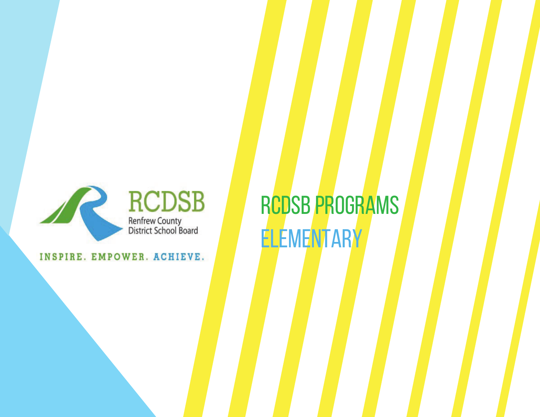

INSPIRE. EMPOWER. ACHIEVE.

RCDSB PROGRAMS **ELEMENTARY**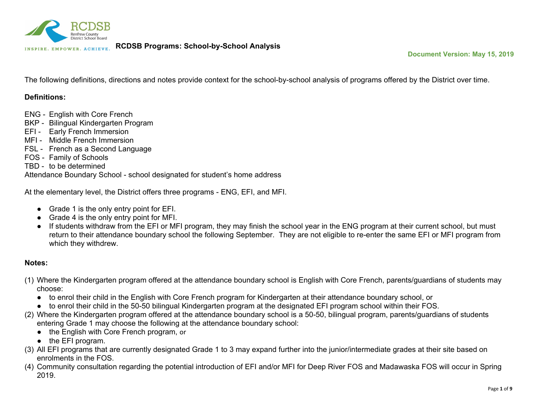

The following definitions, directions and notes provide context for the school-by-school analysis of programs offered by the District over time.

#### **Definitions:**

- ENG English with Core French
- BKP Bilingual Kindergarten Program
- EFI Early French Immersion
- MFI Middle French Immersion
- FSL French as a Second Language
- FOS Family of Schools
- TBD to be determined

Attendance Boundary School - school designated for student's home address

At the elementary level, the District offers three programs - ENG, EFI, and MFI.

- Grade 1 is the only entry point for EFI.
- Grade 4 is the only entry point for MFI.
- If students withdraw from the EFI or MFI program, they may finish the school year in the ENG program at their current school, but must return to their attendance boundary school the following September. They are not eligible to re-enter the same EFI or MFI program from which they withdrew.

#### **Notes:**

- (1) Where the Kindergarten program offered at the attendance boundary school is English with Core French, parents/guardians of students may choose:
	- to enrol their child in the English with Core French program for Kindergarten at their attendance boundary school, or
	- to enrol their child in the 50-50 bilingual Kindergarten program at the designated EFI program school within their FOS.
- (2) Where the Kindergarten program offered at the attendance boundary school is a 50-50, bilingual program, parents/guardians of students entering Grade 1 may choose the following at the attendance boundary school:
	- the English with Core French program, or
	- the EFI program.
- (3) All EFI programs that are currently designated Grade 1 to 3 may expand further into the junior/intermediate grades at their site based on enrolments in the FOS.
- (4) Community consultation regarding the potential introduction of EFI and/or MFI for Deep River FOS and Madawaska FOS will occur in Spring 2019.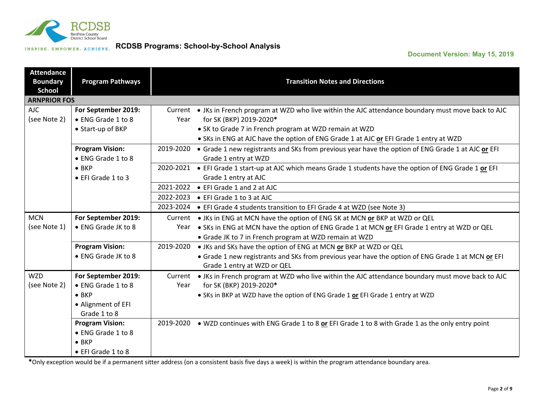

### **Document Version: May 15, 2019**

| <b>Attendance</b><br><b>Boundary</b><br><b>School</b> | <b>Program Pathways</b> |           | <b>Transition Notes and Directions</b>                                                                   |
|-------------------------------------------------------|-------------------------|-----------|----------------------------------------------------------------------------------------------------------|
| <b>ARNPRIOR FOS</b>                                   |                         |           |                                                                                                          |
| AJC.                                                  | For September 2019:     |           | Current . JKs in French program at WZD who live within the AJC attendance boundary must move back to AJC |
| (see Note 2)                                          | • ENG Grade 1 to 8      | Year      | for SK (BKP) 2019-2020*                                                                                  |
|                                                       | • Start-up of BKP       |           | • SK to Grade 7 in French program at WZD remain at WZD                                                   |
|                                                       |                         |           | . SKs in ENG at AJC have the option of ENG Grade 1 at AJC or EFI Grade 1 entry at WZD                    |
|                                                       | <b>Program Vision:</b>  | 2019-2020 | • Grade 1 new registrants and SKs from previous year have the option of ENG Grade 1 at AJC or EFI        |
|                                                       | • ENG Grade 1 to 8      |           | Grade 1 entry at WZD                                                                                     |
|                                                       | $\bullet$ BKP           | 2020-2021 | • EFI Grade 1 start-up at AJC which means Grade 1 students have the option of ENG Grade 1 or EFI         |
|                                                       | • EFI Grade 1 to 3      |           | Grade 1 entry at AJC                                                                                     |
|                                                       |                         |           | 2021-2022 • EFI Grade 1 and 2 at AJC                                                                     |
|                                                       |                         | 2022-2023 | • EFI Grade 1 to 3 at AJC                                                                                |
|                                                       |                         | 2023-2024 | • EFI Grade 4 students transition to EFI Grade 4 at WZD (see Note 3)                                     |
| <b>MCN</b>                                            | For September 2019:     |           | Current • JKs in ENG at MCN have the option of ENG SK at MCN or BKP at WZD or QEL                        |
| (see Note 1)                                          | • ENG Grade JK to 8     | Year      | . SKs in ENG at MCN have the option of ENG Grade 1 at MCN or EFI Grade 1 entry at WZD or QEL             |
|                                                       |                         |           | • Grade JK to 7 in French program at WZD remain at WZD                                                   |
|                                                       | <b>Program Vision:</b>  | 2019-2020 | • JKs and SKs have the option of ENG at MCN or BKP at WZD or QEL                                         |
|                                                       | • ENG Grade JK to 8     |           | • Grade 1 new registrants and SKs from previous year have the option of ENG Grade 1 at MCN or EFI        |
|                                                       |                         |           | Grade 1 entry at WZD or QEL                                                                              |
| <b>WZD</b>                                            | For September 2019:     |           | Current . JKs in French program at WZD who live within the AJC attendance boundary must move back to AJC |
| (see Note 2)                                          | • ENG Grade 1 to 8      | Year      | for SK (BKP) 2019-2020*                                                                                  |
|                                                       | $\bullet$ BKP           |           | • SKs in BKP at WZD have the option of ENG Grade 1 or EFI Grade 1 entry at WZD                           |
|                                                       | • Alignment of EFI      |           |                                                                                                          |
|                                                       | Grade 1 to 8            |           |                                                                                                          |
|                                                       | <b>Program Vision:</b>  |           | 2019-2020 • WZD continues with ENG Grade 1 to 8 or EFI Grade 1 to 8 with Grade 1 as the only entry point |
|                                                       | • ENG Grade 1 to 8      |           |                                                                                                          |
|                                                       | $\bullet$ BKP           |           |                                                                                                          |
|                                                       | • EFI Grade 1 to 8      |           |                                                                                                          |

**\***Only exception would be if a permanent sitter address (on a consistent basis five days a week) is within the program attendance boundary area.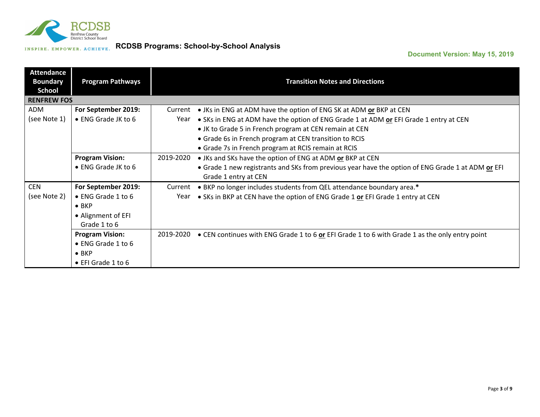

| <b>Attendance</b><br><b>Boundary</b><br><b>School</b> | <b>Program Pathways</b> |           | <b>Transition Notes and Directions</b>                                                            |
|-------------------------------------------------------|-------------------------|-----------|---------------------------------------------------------------------------------------------------|
| <b>RENFREW FOS</b>                                    |                         |           |                                                                                                   |
| ADM                                                   | For September 2019:     | Current   | • JKs in ENG at ADM have the option of ENG SK at ADM or BKP at CEN                                |
| (see Note 1)                                          | • ENG Grade JK to 6     | Year      | . SKs in ENG at ADM have the option of ENG Grade 1 at ADM or EFI Grade 1 entry at CEN             |
|                                                       |                         |           | • JK to Grade 5 in French program at CEN remain at CEN                                            |
|                                                       |                         |           | • Grade 6s in French program at CEN transition to RCIS                                            |
|                                                       |                         |           | • Grade 7s in French program at RCIS remain at RCIS                                               |
|                                                       | <b>Program Vision:</b>  | 2019-2020 | • JKs and SKs have the option of ENG at ADM or BKP at CEN                                         |
|                                                       | • ENG Grade JK to 6     |           | • Grade 1 new registrants and SKs from previous year have the option of ENG Grade 1 at ADM or EFI |
|                                                       |                         |           | Grade 1 entry at CEN                                                                              |
| <b>CEN</b>                                            | For September 2019:     | Current   | • BKP no longer includes students from QEL attendance boundary area.*                             |
| (see Note 2)                                          | • ENG Grade 1 to 6      | Year      | • SKs in BKP at CEN have the option of ENG Grade 1 or EFI Grade 1 entry at CEN                    |
|                                                       | $\bullet$ BKP           |           |                                                                                                   |
|                                                       | • Alignment of EFI      |           |                                                                                                   |
|                                                       | Grade 1 to 6            |           |                                                                                                   |
|                                                       | <b>Program Vision:</b>  | 2019-2020 | • CEN continues with ENG Grade 1 to 6 or EFI Grade 1 to 6 with Grade 1 as the only entry point    |
|                                                       | • ENG Grade 1 to 6      |           |                                                                                                   |
|                                                       | $\bullet$ BKP           |           |                                                                                                   |
|                                                       | • EFI Grade 1 to 6      |           |                                                                                                   |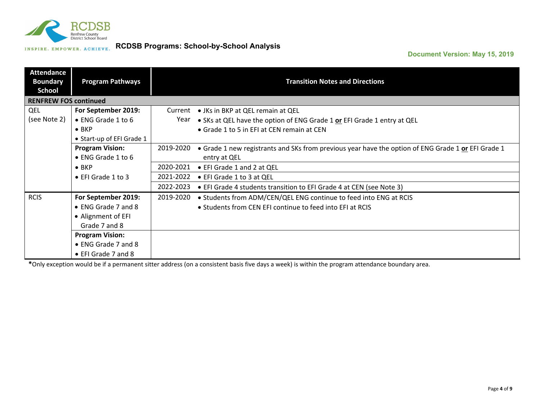

### **Document Version: May 15, 2019**

| <b>Attendance</b><br><b>Boundary</b><br><b>School</b> | <b>Program Pathways</b>    |           | <b>Transition Notes and Directions</b>                                                             |
|-------------------------------------------------------|----------------------------|-----------|----------------------------------------------------------------------------------------------------|
| <b>RENFREW FOS continued</b>                          |                            |           |                                                                                                    |
| QEL                                                   | For September 2019:        | Current   | • JKs in BKP at QEL remain at QEL                                                                  |
| (see Note 2)                                          | • ENG Grade 1 to 6         | Year      | • SKs at QEL have the option of ENG Grade 1 or EFI Grade 1 entry at QEL                            |
|                                                       | $\bullet$ BKP              |           | • Grade 1 to 5 in EFI at CEN remain at CEN                                                         |
|                                                       | • Start-up of EFI Grade 1  |           |                                                                                                    |
|                                                       | <b>Program Vision:</b>     | 2019-2020 | • Grade 1 new registrants and SKs from previous year have the option of ENG Grade 1 or EFI Grade 1 |
|                                                       | • ENG Grade 1 to 6         |           | entry at QEL                                                                                       |
|                                                       | $\bullet$ BKP              | 2020-2021 | • EFI Grade 1 and 2 at QEL                                                                         |
|                                                       | $\bullet$ EFI Grade 1 to 3 | 2021-2022 | • EFI Grade 1 to 3 at QEL                                                                          |
|                                                       |                            | 2022-2023 | • EFI Grade 4 students transition to EFI Grade 4 at CEN (see Note 3)                               |
| <b>RCIS</b>                                           | For September 2019:        | 2019-2020 | . Students from ADM/CEN/QEL ENG continue to feed into ENG at RCIS                                  |
|                                                       | • ENG Grade 7 and 8        |           | • Students from CEN EFI continue to feed into EFI at RCIS                                          |
|                                                       | • Alignment of EFI         |           |                                                                                                    |
|                                                       | Grade 7 and 8              |           |                                                                                                    |
|                                                       | <b>Program Vision:</b>     |           |                                                                                                    |
|                                                       | • ENG Grade 7 and 8        |           |                                                                                                    |
|                                                       | • EFI Grade 7 and 8        |           |                                                                                                    |

**\***Only exception would be if a permanent sitter address (on a consistent basis five days a week) is within the program attendance boundary area.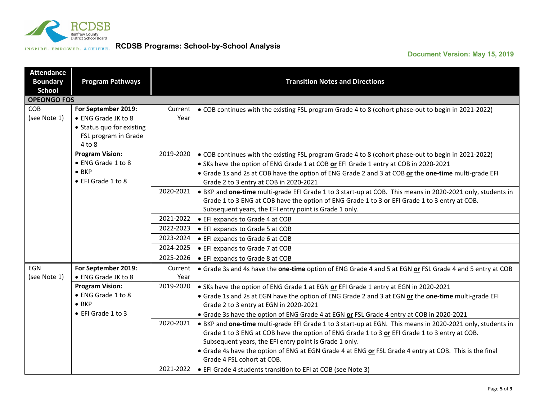

| <b>Attendance</b><br><b>Boundary</b><br><b>School</b> | <b>Program Pathways</b>                    |                 | <b>Transition Notes and Directions</b>                                                                                                                                                                                                                                |
|-------------------------------------------------------|--------------------------------------------|-----------------|-----------------------------------------------------------------------------------------------------------------------------------------------------------------------------------------------------------------------------------------------------------------------|
| <b>OPEONGO FOS</b>                                    |                                            |                 |                                                                                                                                                                                                                                                                       |
| <b>COB</b><br>(see Note 1)                            | For September 2019:<br>• ENG Grade JK to 8 | Current<br>Year | • COB continues with the existing FSL program Grade 4 to 8 (cohort phase-out to begin in 2021-2022)                                                                                                                                                                   |
|                                                       | • Status quo for existing                  |                 |                                                                                                                                                                                                                                                                       |
|                                                       | FSL program in Grade<br>4 to 8             |                 |                                                                                                                                                                                                                                                                       |
|                                                       | <b>Program Vision:</b>                     | 2019-2020       | • COB continues with the existing FSL program Grade 4 to 8 (cohort phase-out to begin in 2021-2022)                                                                                                                                                                   |
|                                                       | • ENG Grade 1 to 8                         |                 | • SKs have the option of ENG Grade 1 at COB or EFI Grade 1 entry at COB in 2020-2021                                                                                                                                                                                  |
|                                                       | $\bullet$ BKP<br>• EFI Grade 1 to 8        |                 | • Grade 1s and 2s at COB have the option of ENG Grade 2 and 3 at COB or the one-time multi-grade EFI<br>Grade 2 to 3 entry at COB in 2020-2021                                                                                                                        |
|                                                       |                                            | 2020-2021       | • BKP and one-time multi-grade EFI Grade 1 to 3 start-up at COB. This means in 2020-2021 only, students in<br>Grade 1 to 3 ENG at COB have the option of ENG Grade 1 to 3 or EFI Grade 1 to 3 entry at COB.<br>Subsequent years, the EFI entry point is Grade 1 only. |
|                                                       |                                            | 2021-2022       | • EFI expands to Grade 4 at COB                                                                                                                                                                                                                                       |
|                                                       |                                            | 2022-2023       | • EFI expands to Grade 5 at COB                                                                                                                                                                                                                                       |
|                                                       |                                            | 2023-2024       | • EFI expands to Grade 6 at COB                                                                                                                                                                                                                                       |
|                                                       |                                            | 2024-2025       | • EFI expands to Grade 7 at COB                                                                                                                                                                                                                                       |
|                                                       |                                            | 2025-2026       | • EFI expands to Grade 8 at COB                                                                                                                                                                                                                                       |
| <b>EGN</b><br>(see Note 1)                            | For September 2019:<br>• ENG Grade JK to 8 | Current<br>Year | • Grade 3s and 4s have the one-time option of ENG Grade 4 and 5 at EGN or FSL Grade 4 and 5 entry at COB                                                                                                                                                              |
|                                                       | <b>Program Vision:</b>                     | 2019-2020       | • SKs have the option of ENG Grade 1 at EGN or EFI Grade 1 entry at EGN in 2020-2021                                                                                                                                                                                  |
|                                                       | • ENG Grade 1 to 8                         |                 | . Grade 1s and 2s at EGN have the option of ENG Grade 2 and 3 at EGN or the one-time multi-grade EFI                                                                                                                                                                  |
|                                                       | $\bullet$ BKP                              |                 | Grade 2 to 3 entry at EGN in 2020-2021                                                                                                                                                                                                                                |
|                                                       | • EFI Grade 1 to 3                         |                 | • Grade 3s have the option of ENG Grade 4 at EGN or FSL Grade 4 entry at COB in 2020-2021                                                                                                                                                                             |
|                                                       |                                            | 2020-2021       | • BKP and one-time multi-grade EFI Grade 1 to 3 start-up at EGN. This means in 2020-2021 only, students in                                                                                                                                                            |
|                                                       |                                            |                 | Grade 1 to 3 ENG at COB have the option of ENG Grade 1 to 3 or EFI Grade 1 to 3 entry at COB.                                                                                                                                                                         |
|                                                       |                                            |                 | Subsequent years, the EFI entry point is Grade 1 only.                                                                                                                                                                                                                |
|                                                       |                                            |                 | • Grade 4s have the option of ENG at EGN Grade 4 at ENG or FSL Grade 4 entry at COB. This is the final<br>Grade 4 FSL cohort at COB.                                                                                                                                  |
|                                                       |                                            | 2021-2022       | • EFI Grade 4 students transition to EFI at COB (see Note 3)                                                                                                                                                                                                          |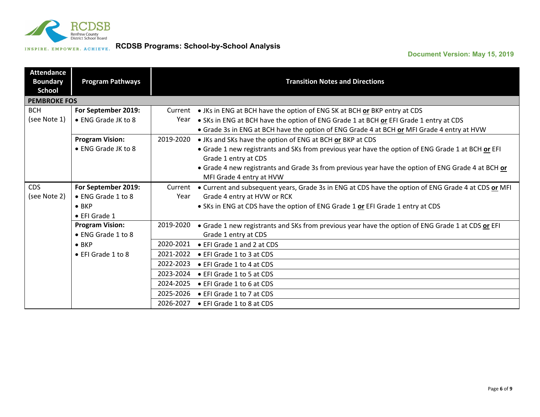

| <b>Attendance</b><br><b>Boundary</b><br><b>School</b> | <b>Program Pathways</b>    |           | <b>Transition Notes and Directions</b>                                                                                    |
|-------------------------------------------------------|----------------------------|-----------|---------------------------------------------------------------------------------------------------------------------------|
| <b>PEMBROKE FOS</b>                                   |                            |           |                                                                                                                           |
| <b>BCH</b>                                            | For September 2019:        | Current   | • JKs in ENG at BCH have the option of ENG SK at BCH or BKP entry at CDS                                                  |
| (see Note 1)                                          | • ENG Grade JK to 8        | Year      | . SKs in ENG at BCH have the option of ENG Grade 1 at BCH or EFI Grade 1 entry at CDS                                     |
|                                                       |                            |           | • Grade 3s in ENG at BCH have the option of ENG Grade 4 at BCH or MFI Grade 4 entry at HVW                                |
|                                                       | <b>Program Vision:</b>     | 2019-2020 | • JKs and SKs have the option of ENG at BCH or BKP at CDS                                                                 |
|                                                       | • ENG Grade JK to 8        |           | . Grade 1 new registrants and SKs from previous year have the option of ENG Grade 1 at BCH or EFI<br>Grade 1 entry at CDS |
|                                                       |                            |           | • Grade 4 new registrants and Grade 3s from previous year have the option of ENG Grade 4 at BCH or                        |
|                                                       |                            |           | MFI Grade 4 entry at HVW                                                                                                  |
| <b>CDS</b>                                            | For September 2019:        | Current   | • Current and subsequent years, Grade 3s in ENG at CDS have the option of ENG Grade 4 at CDS or MFI                       |
| (see Note 2)                                          | • ENG Grade 1 to 8         | Year      | Grade 4 entry at HVW or RCK                                                                                               |
|                                                       | $\bullet$ BKP              |           | • SKs in ENG at CDS have the option of ENG Grade 1 or EFI Grade 1 entry at CDS                                            |
|                                                       | • EFI Grade 1              |           |                                                                                                                           |
|                                                       | <b>Program Vision:</b>     | 2019-2020 | • Grade 1 new registrants and SKs from previous year have the option of ENG Grade 1 at CDS or EFI                         |
|                                                       | • ENG Grade 1 to 8         |           | Grade 1 entry at CDS                                                                                                      |
|                                                       | $\bullet$ BKP              | 2020-2021 | • EFI Grade 1 and 2 at CDS                                                                                                |
|                                                       | $\bullet$ EFI Grade 1 to 8 | 2021-2022 | • EFI Grade 1 to 3 at CDS                                                                                                 |
|                                                       |                            | 2022-2023 | • EFI Grade 1 to 4 at CDS                                                                                                 |
|                                                       |                            | 2023-2024 | • EFI Grade 1 to 5 at CDS                                                                                                 |
|                                                       |                            | 2024-2025 | • EFI Grade 1 to 6 at CDS                                                                                                 |
|                                                       |                            | 2025-2026 | • EFI Grade 1 to 7 at CDS                                                                                                 |
|                                                       |                            | 2026-2027 | • EFI Grade 1 to 8 at CDS                                                                                                 |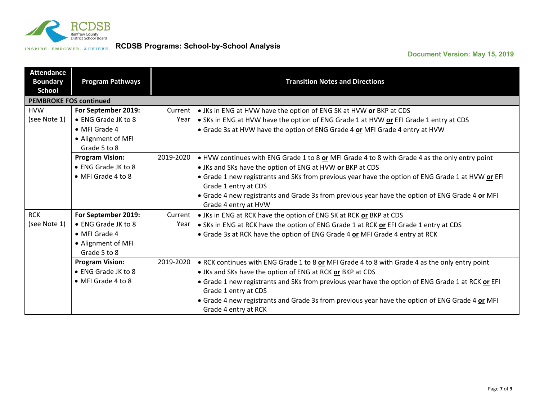

| <b>Attendance</b><br><b>Boundary</b><br>School | <b>Program Pathways</b>            |           | <b>Transition Notes and Directions</b>                                                                                    |
|------------------------------------------------|------------------------------------|-----------|---------------------------------------------------------------------------------------------------------------------------|
| <b>PEMBROKE FOS continued</b>                  |                                    |           |                                                                                                                           |
| <b>HVW</b>                                     | For September 2019:                |           | Current ● JKs in ENG at HVW have the option of ENG SK at HVW or BKP at CDS                                                |
| (see Note 1)                                   | • ENG Grade JK to 8                | Year      | . SKs in ENG at HVW have the option of ENG Grade 1 at HVW or EFI Grade 1 entry at CDS                                     |
|                                                | • MFI Grade 4                      |           | • Grade 3s at HVW have the option of ENG Grade 4 or MFI Grade 4 entry at HVW                                              |
|                                                | • Alignment of MFI<br>Grade 5 to 8 |           |                                                                                                                           |
|                                                | <b>Program Vision:</b>             | 2019-2020 | • HVW continues with ENG Grade 1 to 8 or MFI Grade 4 to 8 with Grade 4 as the only entry point                            |
|                                                | • ENG Grade JK to 8                |           | • JKs and SKs have the option of ENG at HVW or BKP at CDS                                                                 |
|                                                | • MFI Grade 4 to 8                 |           | • Grade 1 new registrants and SKs from previous year have the option of ENG Grade 1 at HVW or EFI                         |
|                                                |                                    |           | Grade 1 entry at CDS                                                                                                      |
|                                                |                                    |           | • Grade 4 new registrants and Grade 3s from previous year have the option of ENG Grade 4 or MFI                           |
|                                                |                                    |           | Grade 4 entry at HVW                                                                                                      |
| <b>RCK</b>                                     | For September 2019:                |           | Current • JKs in ENG at RCK have the option of ENG SK at RCK or BKP at CDS                                                |
| (see Note 1)                                   | • ENG Grade JK to 8                | Year      | . SKs in ENG at RCK have the option of ENG Grade 1 at RCK or EFI Grade 1 entry at CDS                                     |
|                                                | • MFI Grade 4                      |           | • Grade 3s at RCK have the option of ENG Grade 4 or MFI Grade 4 entry at RCK                                              |
|                                                | • Alignment of MFI                 |           |                                                                                                                           |
|                                                | Grade 5 to 8                       |           |                                                                                                                           |
|                                                | <b>Program Vision:</b>             | 2019-2020 | • RCK continues with ENG Grade 1 to 8 or MFI Grade 4 to 8 with Grade 4 as the only entry point                            |
|                                                | • ENG Grade JK to 8                |           | • JKs and SKs have the option of ENG at RCK or BKP at CDS                                                                 |
|                                                | • MFI Grade 4 to 8                 |           | • Grade 1 new registrants and SKs from previous year have the option of ENG Grade 1 at RCK or EFI<br>Grade 1 entry at CDS |
|                                                |                                    |           | • Grade 4 new registrants and Grade 3s from previous year have the option of ENG Grade 4 or MFI<br>Grade 4 entry at RCK   |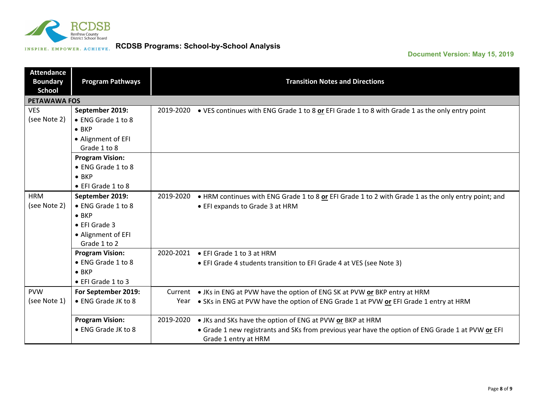

| <b>Attendance</b><br><b>Boundary</b><br><b>School</b> | <b>Program Pathways</b> |           | <b>Transition Notes and Directions</b>                                                                                    |
|-------------------------------------------------------|-------------------------|-----------|---------------------------------------------------------------------------------------------------------------------------|
| <b>PETAWAWA FOS</b>                                   |                         |           |                                                                                                                           |
| <b>VES</b>                                            | September 2019:         | 2019-2020 | • VES continues with ENG Grade 1 to 8 or EFI Grade 1 to 8 with Grade 1 as the only entry point                            |
| (see Note 2)                                          | • ENG Grade 1 to 8      |           |                                                                                                                           |
|                                                       | $\bullet$ BKP           |           |                                                                                                                           |
|                                                       | • Alignment of EFI      |           |                                                                                                                           |
|                                                       | Grade 1 to 8            |           |                                                                                                                           |
|                                                       | <b>Program Vision:</b>  |           |                                                                                                                           |
|                                                       | • ENG Grade 1 to 8      |           |                                                                                                                           |
|                                                       | $\bullet$ BKP           |           |                                                                                                                           |
|                                                       | • EFI Grade 1 to 8      |           |                                                                                                                           |
| <b>HRM</b>                                            | September 2019:         | 2019-2020 | • HRM continues with ENG Grade 1 to 8 or EFI Grade 1 to 2 with Grade 1 as the only entry point; and                       |
| (see Note 2)                                          | • ENG Grade 1 to 8      |           | • EFI expands to Grade 3 at HRM                                                                                           |
|                                                       | $\bullet$ BKP           |           |                                                                                                                           |
|                                                       | • EFI Grade 3           |           |                                                                                                                           |
|                                                       | • Alignment of EFI      |           |                                                                                                                           |
|                                                       | Grade 1 to 2            |           |                                                                                                                           |
|                                                       | <b>Program Vision:</b>  | 2020-2021 | ● EFI Grade 1 to 3 at HRM                                                                                                 |
|                                                       | • ENG Grade 1 to 8      |           | • EFI Grade 4 students transition to EFI Grade 4 at VES (see Note 3)                                                      |
|                                                       | $\bullet$ BKP           |           |                                                                                                                           |
|                                                       | • EFI Grade 1 to 3      |           |                                                                                                                           |
| <b>PVW</b>                                            | For September 2019:     | Current   | • JKs in ENG at PVW have the option of ENG SK at PVW or BKP entry at HRM                                                  |
| (see Note 1)                                          | • ENG Grade JK to 8     | Year      | . SKs in ENG at PVW have the option of ENG Grade 1 at PVW or EFI Grade 1 entry at HRM                                     |
|                                                       | <b>Program Vision:</b>  | 2019-2020 | • JKs and SKs have the option of ENG at PVW or BKP at HRM                                                                 |
|                                                       | • ENG Grade JK to 8     |           | • Grade 1 new registrants and SKs from previous year have the option of ENG Grade 1 at PVW or EFI<br>Grade 1 entry at HRM |